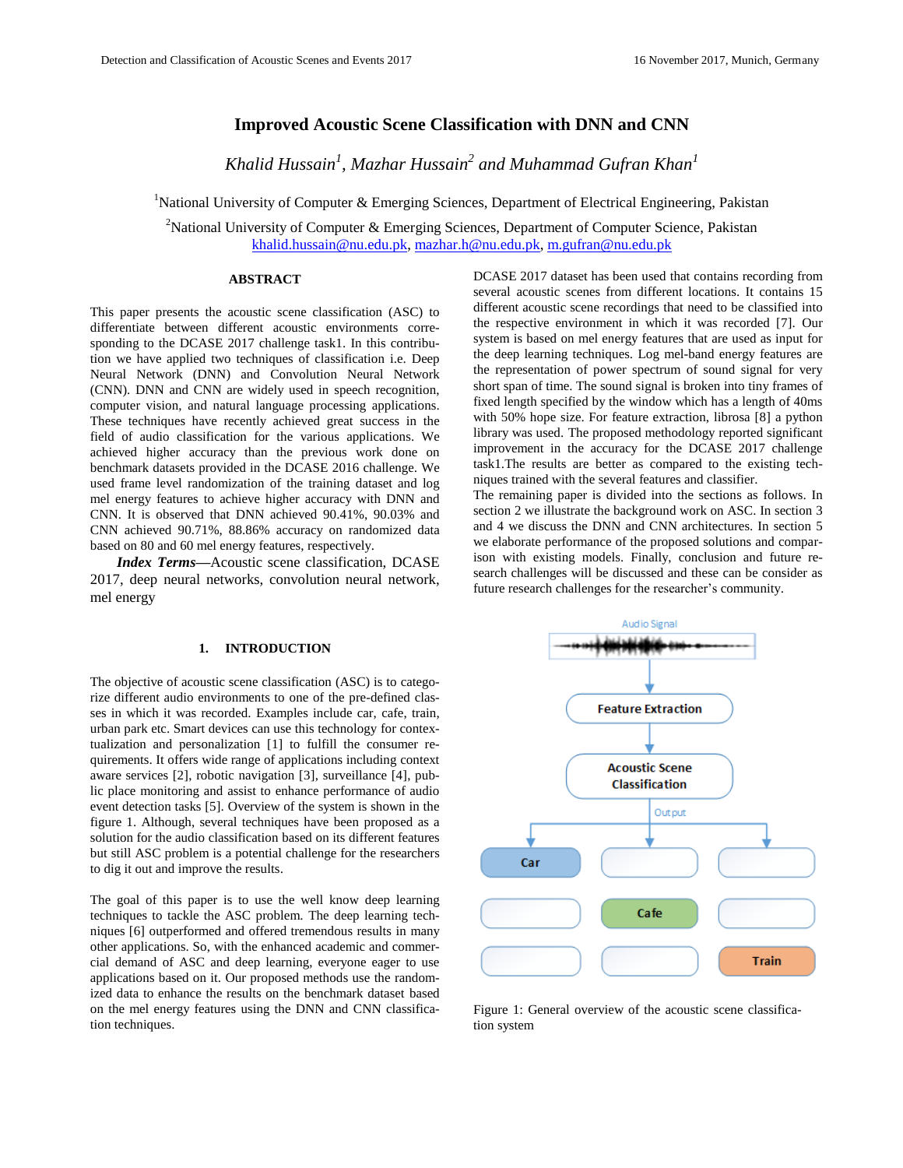# **Improved Acoustic Scene Classification with DNN and CNN**

*Khalid Hussain<sup>1</sup> , Mazhar Hussain<sup>2</sup> and Muhammad Gufran Khan<sup>1</sup>*

<sup>1</sup>National University of Computer & Emerging Sciences, Department of Electrical Engineering, Pakistan

<sup>2</sup>National University of Computer & Emerging Sciences, Department of Computer Science, Pakistan khalid.hussain@nu.edu.pk, mazhar.h@nu.edu.pk, m.gufran@nu.edu.pk

#### **ABSTRACT**

This paper presents the acoustic scene classification (ASC) to differentiate between different acoustic environments corresponding to the DCASE 2017 challenge task1. In this contribution we have applied two techniques of classification i.e. Deep Neural Network (DNN) and Convolution Neural Network (CNN). DNN and CNN are widely used in speech recognition, computer vision, and natural language processing applications. These techniques have recently achieved great success in the field of audio classification for the various applications. We achieved higher accuracy than the previous work done on benchmark datasets provided in the DCASE 2016 challenge. We used frame level randomization of the training dataset and log mel energy features to achieve higher accuracy with DNN and CNN. It is observed that DNN achieved 90.41%, 90.03% and CNN achieved 90.71%, 88.86% accuracy on randomized data based on 80 and 60 mel energy features, respectively.

*Index Terms—*Acoustic scene classification, DCASE 2017, deep neural networks, convolution neural network, mel energy

#### **1. INTRODUCTION**

The objective of acoustic scene classification (ASC) is to categorize different audio environments to one of the pre-defined classes in which it was recorded. Examples include car, cafe, train, urban park etc. Smart devices can use this technology for contextualization and personalization [1] to fulfill the consumer requirements. It offers wide range of applications including context aware services [2], robotic navigation [3], surveillance [4], public place monitoring and assist to enhance performance of audio event detection tasks [5]. Overview of the system is shown in the figure 1. Although, several techniques have been proposed as a solution for the audio classification based on its different features but still ASC problem is a potential challenge for the researchers to dig it out and improve the results.

The goal of this paper is to use the well know deep learning techniques to tackle the ASC problem. The deep learning techniques [6] outperformed and offered tremendous results in many other applications. So, with the enhanced academic and commercial demand of ASC and deep learning, everyone eager to use applications based on it. Our proposed methods use the randomized data to enhance the results on the benchmark dataset based on the mel energy features using the DNN and CNN classification techniques.

DCASE 2017 dataset has been used that contains recording from several acoustic scenes from different locations. It contains 15 different acoustic scene recordings that need to be classified into the respective environment in which it was recorded [7]. Our system is based on mel energy features that are used as input for the deep learning techniques. Log mel-band energy features are the representation of power spectrum of sound signal for very short span of time. The sound signal is broken into tiny frames of fixed length specified by the window which has a length of 40ms with 50% hope size. For feature extraction, librosa [8] a python library was used. The proposed methodology reported significant improvement in the accuracy for the DCASE 2017 challenge task1.The results are better as compared to the existing techniques trained with the several features and classifier.

The remaining paper is divided into the sections as follows. In section 2 we illustrate the background work on ASC. In section 3 and 4 we discuss the DNN and CNN architectures. In section 5 we elaborate performance of the proposed solutions and comparison with existing models. Finally, conclusion and future research challenges will be discussed and these can be consider as future research challenges for the researcher's community.



Figure 1: General overview of the acoustic scene classification system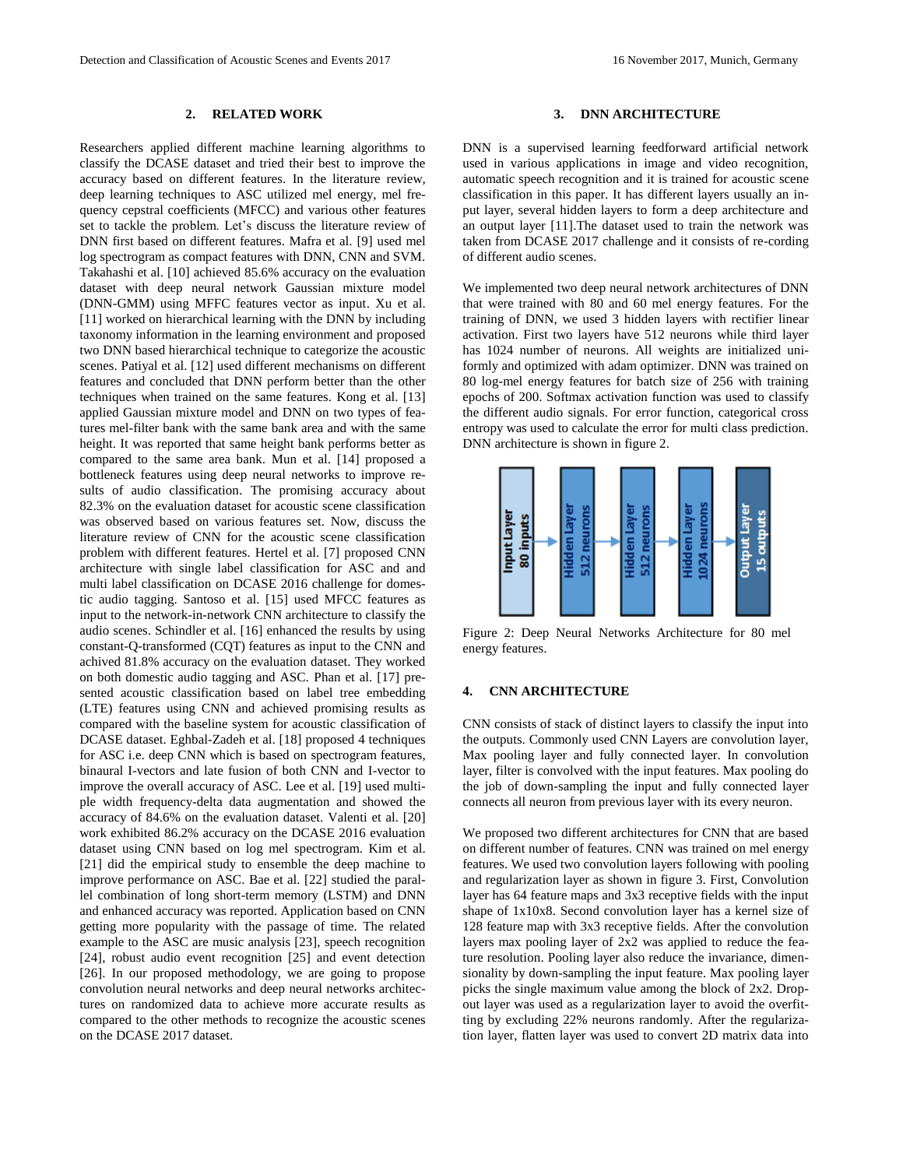## **2. RELATED WORK**

Researchers applied different machine learning algorithms to classify the DCASE dataset and tried their best to improve the accuracy based on different features. In the literature review, deep learning techniques to ASC utilized mel energy, mel frequency cepstral coefficients (MFCC) and various other features set to tackle the problem. Let's discuss the literature review of DNN first based on different features. Mafra et al. [9] used mel log spectrogram as compact features with DNN, CNN and SVM. Takahashi et al. [10] achieved 85.6% accuracy on the evaluation dataset with deep neural network Gaussian mixture model (DNN-GMM) using MFFC features vector as input. Xu et al. [11] worked on hierarchical learning with the DNN by including taxonomy information in the learning environment and proposed two DNN based hierarchical technique to categorize the acoustic scenes. Patiyal et al. [12] used different mechanisms on different features and concluded that DNN perform better than the other techniques when trained on the same features. Kong et al. [13] applied Gaussian mixture model and DNN on two types of features mel-filter bank with the same bank area and with the same height. It was reported that same height bank performs better as compared to the same area bank. Mun et al. [14] proposed a bottleneck features using deep neural networks to improve results of audio classification. The promising accuracy about 82.3% on the evaluation dataset for acoustic scene classification was observed based on various features set. Now, discuss the literature review of CNN for the acoustic scene classification problem with different features. Hertel et al. [7] proposed CNN architecture with single label classification for ASC and and multi label classification on DCASE 2016 challenge for domestic audio tagging. Santoso et al. [15] used MFCC features as input to the network-in-network CNN architecture to classify the audio scenes. Schindler et al. [16] enhanced the results by using constant-Q-transformed (CQT) features as input to the CNN and achived 81.8% accuracy on the evaluation dataset. They worked on both domestic audio tagging and ASC. Phan et al. [17] presented acoustic classification based on label tree embedding (LTE) features using CNN and achieved promising results as compared with the baseline system for acoustic classification of DCASE dataset. Eghbal-Zadeh et al. [18] proposed 4 techniques for ASC i.e. deep CNN which is based on spectrogram features, binaural I-vectors and late fusion of both CNN and I-vector to improve the overall accuracy of ASC. Lee et al. [19] used multiple width frequency-delta data augmentation and showed the accuracy of 84.6% on the evaluation dataset. Valenti et al. [20] work exhibited 86.2% accuracy on the DCASE 2016 evaluation dataset using CNN based on log mel spectrogram. Kim et al. [21] did the empirical study to ensemble the deep machine to improve performance on ASC. Bae et al. [22] studied the parallel combination of long short-term memory (LSTM) and DNN and enhanced accuracy was reported. Application based on CNN getting more popularity with the passage of time. The related example to the ASC are music analysis [23], speech recognition [24], robust audio event recognition [25] and event detection [26]. In our proposed methodology, we are going to propose convolution neural networks and deep neural networks architectures on randomized data to achieve more accurate results as compared to the other methods to recognize the acoustic scenes on the DCASE 2017 dataset.

### **3. DNN ARCHITECTURE**

DNN is a supervised learning feedforward artificial network used in various applications in image and video recognition, automatic speech recognition and it is trained for acoustic scene classification in this paper. It has different layers usually an input layer, several hidden layers to form a deep architecture and an output layer [11].The dataset used to train the network was taken from DCASE 2017 challenge and it consists of re-cording of different audio scenes.

We implemented two deep neural network architectures of DNN that were trained with 80 and 60 mel energy features. For the training of DNN, we used 3 hidden layers with rectifier linear activation. First two layers have 512 neurons while third layer has 1024 number of neurons. All weights are initialized uniformly and optimized with adam optimizer. DNN was trained on 80 log-mel energy features for batch size of 256 with training epochs of 200. Softmax activation function was used to classify the different audio signals. For error function, categorical cross entropy was used to calculate the error for multi class prediction. DNN architecture is shown in figure 2.



Figure 2: Deep Neural Networks Architecture for 80 mel energy features.

### **4. CNN ARCHITECTURE**

CNN consists of stack of distinct layers to classify the input into the outputs. Commonly used CNN Layers are convolution layer, Max pooling layer and fully connected layer. In convolution layer, filter is convolved with the input features. Max pooling do the job of down-sampling the input and fully connected layer connects all neuron from previous layer with its every neuron.

We proposed two different architectures for CNN that are based on different number of features. CNN was trained on mel energy features. We used two convolution layers following with pooling and regularization layer as shown in figure 3. First, Convolution layer has 64 feature maps and 3x3 receptive fields with the input shape of 1x10x8. Second convolution layer has a kernel size of 128 feature map with 3x3 receptive fields. After the convolution layers max pooling layer of 2x2 was applied to reduce the feature resolution. Pooling layer also reduce the invariance, dimensionality by down-sampling the input feature. Max pooling layer picks the single maximum value among the block of 2x2. Dropout layer was used as a regularization layer to avoid the overfitting by excluding 22% neurons randomly. After the regularization layer, flatten layer was used to convert 2D matrix data into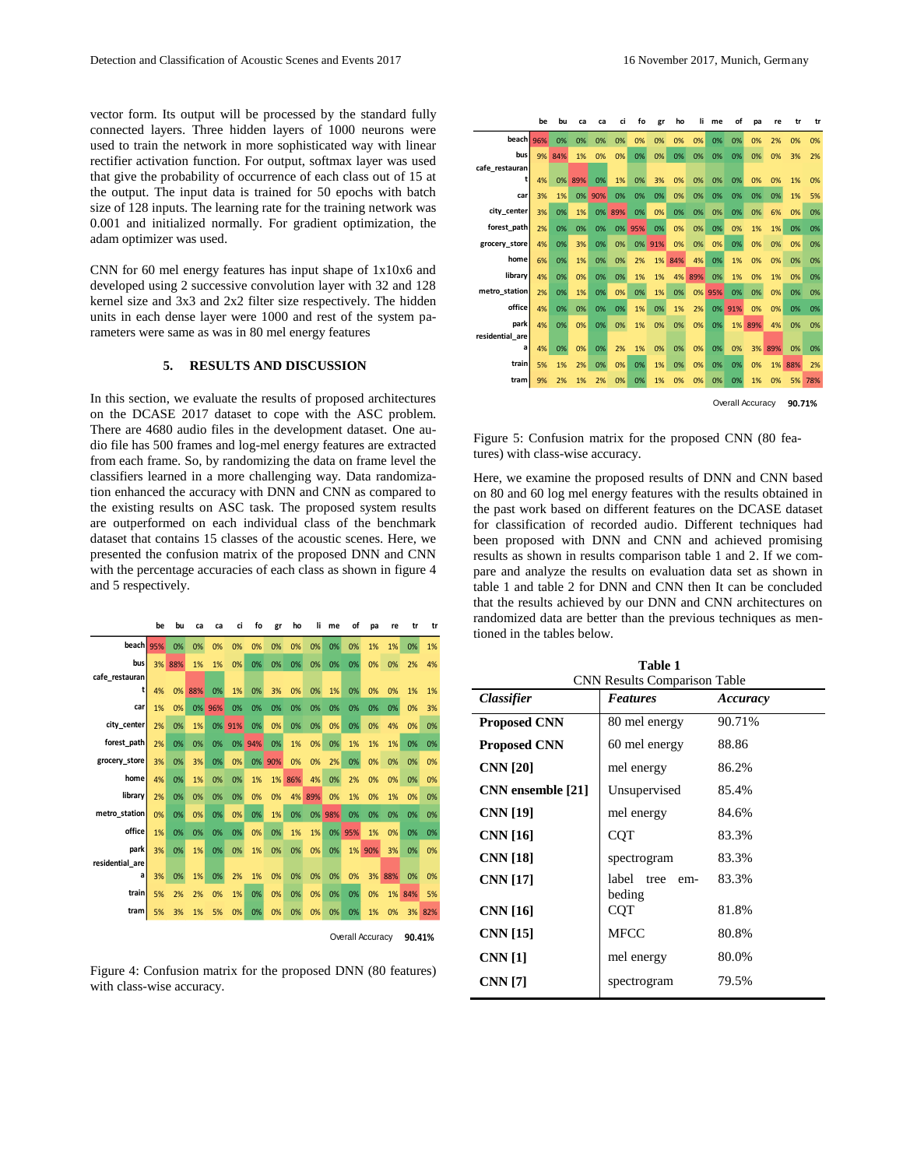vector form. Its output will be processed by the standard fully connected layers. Three hidden layers of 1000 neurons were used to train the network in more sophisticated way with linear rectifier activation function. For output, softmax layer was used that give the probability of occurrence of each class out of 15 at the output. The input data is trained for 50 epochs with batch size of 128 inputs. The learning rate for the training network was 0.001 and initialized normally. For gradient optimization, the adam optimizer was used.

CNN for 60 mel energy features has input shape of 1x10x6 and developed using 2 successive convolution layer with 32 and 128 kernel size and 3x3 and 2x2 filter size respectively. The hidden units in each dense layer were 1000 and rest of the system parameters were same as was in 80 mel energy features

#### **5. RESULTS AND DISCUSSION**

In this section, we evaluate the results of proposed architectures on the DCASE 2017 dataset to cope with the ASC problem. There are 4680 audio files in the development dataset. One audio file has 500 frames and log-mel energy features are extracted from each frame. So, by randomizing the data on frame level the classifiers learned in a more challenging way. Data randomization enhanced the accuracy with DNN and CNN as compared to the existing results on ASC task. The proposed system results are outperformed on each individual class of the benchmark dataset that contains 15 classes of the acoustic scenes. Here, we presented the confusion matrix of the proposed DNN and CNN with the percentage accuracies of each class as shown in figure 4 and 5 respectively.



Overall Accuracy **90.41%**

Figure 4: Confusion matrix for the proposed DNN (80 features) with class-wise accuracy.

|                 | be  | bu  | ca  | ca  | ci  | fo  | gr  | ho  | li  | me  | of               | pa  | re  | tr     | tr  |
|-----------------|-----|-----|-----|-----|-----|-----|-----|-----|-----|-----|------------------|-----|-----|--------|-----|
| beach           | 96% | 0%  | 0%  | 0%  | 0%  | 0%  | 0%  | 0%  | 0%  | 0%  | 0%               | 0%  | 2%  | 0%     | 0%  |
| bus             | 9%  | 84% | 1%  | 0%  | 0%  | 0%  | 0%  | 0%  | 0%  | 0%  | 0%               | 0%  | 0%  | 3%     | 2%  |
| cafe restauran  |     |     |     |     |     |     |     |     |     |     |                  |     |     |        |     |
| t               | 4%  | 0%  | 89% | 0%  | 1%  | 0%  | 3%  | 0%  | 0%  | 0%  | 0%               | 0%  | 0%  | 1%     | 0%  |
| car             | 3%  | 1%  | 0%  | 90% | 0%  | 0%  | 0%  | 0%  | 0%  | 0%  | 0%               | 0%  | 0%  | 1%     | 5%  |
| city center     | 3%  | 0%  | 1%  | 0%  | 89% | 0%  | 0%  | 0%  | 0%  | 0%  | 0%               | 0%  | 6%  | 0%     | 0%  |
| forest path     | 2%  | 0%  | 0%  | 0%  | 0%  | 95% | 0%  | 0%  | 0%  | 0%  | 0%               | 1%  | 1%  | 0%     | 0%  |
| grocery_store   | 4%  | 0%  | 3%  | 0%  | 0%  | 0%  | 91% | 0%  | 0%  | 0%  | 0%               | 0%  | 0%  | 0%     | 0%  |
| home            | 6%  | 0%  | 1%  | 0%  | 0%  | 2%  | 1%  | 84% | 4%  | 0%  | 1%               | 0%  | 0%  | 0%     | 0%  |
| library         | 4%  | 0%  | 0%  | 0%  | 0%  | 1%  | 1%  | 4%  | 89% | 0%  | 1%               | 0%  | 1%  | 0%     | 0%  |
| metro station   | 2%  | 0%  | 1%  | 0%  | 0%  | 0%  | 1%  | 0%  | 0%  | 95% | 0%               | 0%  | 0%  | 0%     | 0%  |
| office          | 4%  | 0%  | 0%  | 0%  | 0%  | 1%  | 0%  | 1%  | 2%  | 0%  | 91%              | 0%  | 0%  | 0%     | 0%  |
| park            | 4%  | 0%  | 0%  | 0%  | 0%  | 1%  | 0%  | 0%  | 0%  | 0%  | 1%               | 89% | 4%  | 0%     | 0%  |
| residential are |     |     |     |     |     |     |     |     |     |     |                  |     |     |        |     |
| a               | 4%  | 0%  | 0%  | 0%  | 2%  | 1%  | 0%  | 0%  | 0%  | 0%  | 0%               | 3%  | 89% | 0%     | 0%  |
| train           | 5%  | 1%  | 2%  | 0%  | 0%  | 0%  | 1%  | 0%  | 0%  | 0%  | 0%               | 0%  | 1%  | 88%    | 2%  |
| tram            | 9%  | 2%  | 1%  | 2%  | 0%  | 0%  | 1%  | 0%  | 0%  | 0%  | 0%               | 1%  | 0%  | 5%     | 78% |
|                 |     |     |     |     |     |     |     |     |     |     | Overall Accuracv |     |     | 90.71% |     |

Figure 5: Confusion matrix for the proposed CNN (80 features) with class-wise accuracy.

Here, we examine the proposed results of DNN and CNN based on 80 and 60 log mel energy features with the results obtained in the past work based on different features on the DCASE dataset for classification of recorded audio. Different techniques had been proposed with DNN and CNN and achieved promising results as shown in results comparison table 1 and 2. If we compare and analyze the results on evaluation data set as shown in table 1 and table 2 for DNN and CNN then It can be concluded that the results achieved by our DNN and CNN architectures on randomized data are better than the previous techniques as mentioned in the tables below.

| Table 1                             |                      |          |  |  |  |  |
|-------------------------------------|----------------------|----------|--|--|--|--|
| <b>CNN Results Comparison Table</b> |                      |          |  |  |  |  |
| <b>Classifier</b>                   | <b>Features</b>      | Accuracy |  |  |  |  |
| <b>Proposed CNN</b>                 | 80 mel energy        | 90.71%   |  |  |  |  |
| <b>Proposed CNN</b>                 | 60 mel energy        | 88.86    |  |  |  |  |
| <b>CNN</b> [20]                     | mel energy           | 86.2%    |  |  |  |  |
| CNN ensemble [21]                   | Unsupervised         | 85.4%    |  |  |  |  |
| <b>CNN</b> [19]                     | mel energy           | 84.6%    |  |  |  |  |
| <b>CNN</b> [16]                     | CQT                  | 83.3%    |  |  |  |  |
| <b>CNN</b> [18]                     | spectrogram          | 83.3%    |  |  |  |  |
| <b>CNN</b> [17]                     | label<br>tree<br>em- | 83.3%    |  |  |  |  |
| <b>CNN</b> [16]                     | beding<br>CQT        | 81.8%    |  |  |  |  |
| <b>CNN</b> [15]                     | <b>MFCC</b>          | 80.8%    |  |  |  |  |
| <b>CNN [1]</b>                      | mel energy           | 80.0%    |  |  |  |  |
| <b>CNN</b> [7]                      | spectrogram          | 79.5%    |  |  |  |  |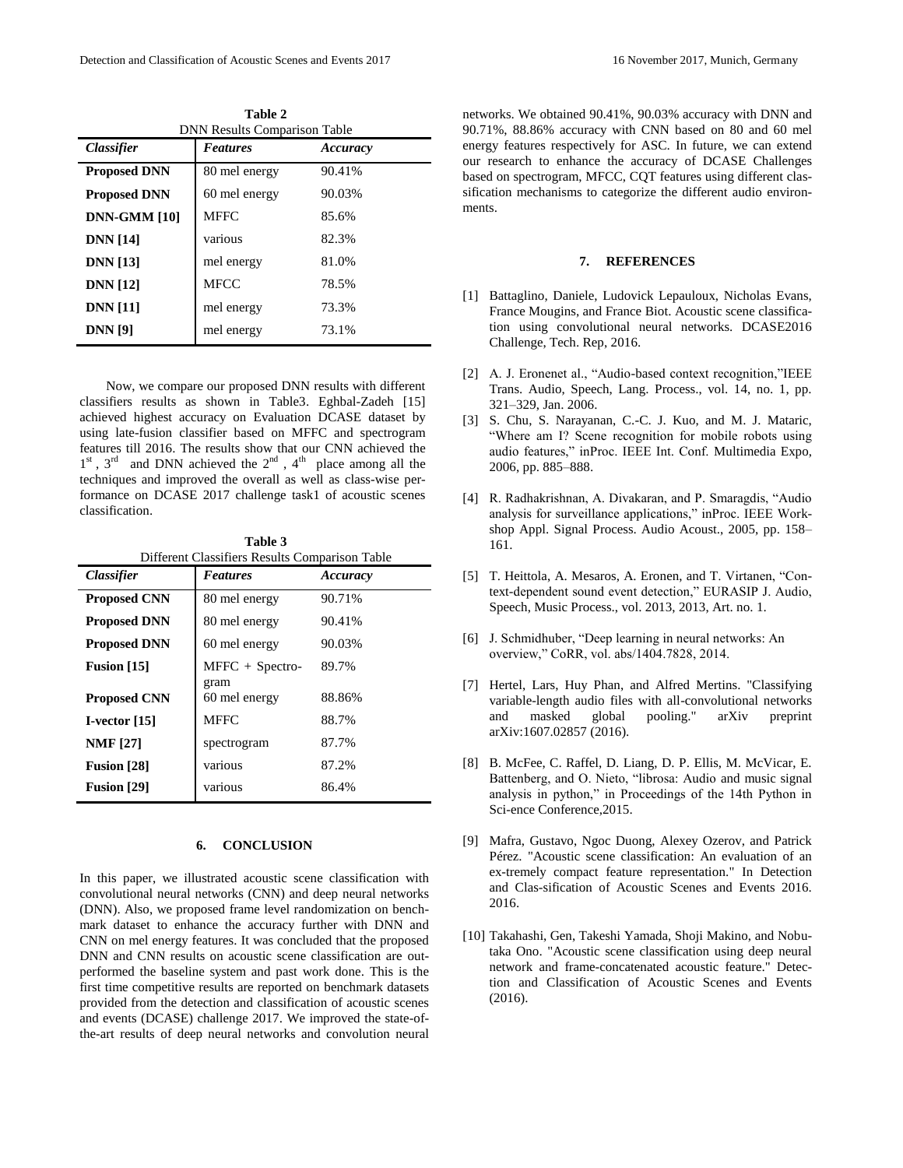**Table 2** DNN Results Comparison Table

| DIAIA RUSURS COMPANISON TADIU |                 |          |  |  |  |
|-------------------------------|-----------------|----------|--|--|--|
| <b>Classifier</b>             | <b>Features</b> | Accuracy |  |  |  |
| <b>Proposed DNN</b>           | 80 mel energy   | 90.41%   |  |  |  |
| <b>Proposed DNN</b>           | 60 mel energy   | 90.03%   |  |  |  |
| <b>DNN-GMM [10]</b>           | <b>MFFC</b>     | 85.6%    |  |  |  |
| <b>DNN</b> [14]               | various         | 82.3%    |  |  |  |
| <b>DNN</b> [13]               | mel energy      | 81.0%    |  |  |  |
| <b>DNN</b> [12]               | MFCC            | 78.5%    |  |  |  |
| <b>DNN</b> [11]               | mel energy      | 73.3%    |  |  |  |
| <b>DNN</b> [9]                | mel energy      | 73.1%    |  |  |  |
|                               |                 |          |  |  |  |

Now, we compare our proposed DNN results with different classifiers results as shown in Table3. Eghbal-Zadeh [15] achieved highest accuracy on Evaluation DCASE dataset by using late-fusion classifier based on MFFC and spectrogram features till 2016. The results show that our CNN achieved the  $1<sup>st</sup>$ ,  $3<sup>rd</sup>$  and DNN achieved the  $2<sup>nd</sup>$ ,  $4<sup>th</sup>$  place among all the techniques and improved the overall as well as class-wise performance on DCASE 2017 challenge task1 of acoustic scenes classification.

**Table 3** Different Classifiers Results Comparison Table

| ринский славянить ковань сопіратвой табіс |                   |          |  |  |  |  |
|-------------------------------------------|-------------------|----------|--|--|--|--|
| <b>Classifier</b>                         | <b>Features</b>   | Accuracy |  |  |  |  |
| <b>Proposed CNN</b>                       | 80 mel energy     | 90.71%   |  |  |  |  |
| <b>Proposed DNN</b>                       | 80 mel energy     | 90.41%   |  |  |  |  |
| <b>Proposed DNN</b>                       | 60 mel energy     | 90.03%   |  |  |  |  |
| Fusion $[15]$                             | $MFFC + Spectro-$ | 89.7%    |  |  |  |  |
|                                           | gram              |          |  |  |  |  |
| <b>Proposed CNN</b>                       | 60 mel energy     | 88.86%   |  |  |  |  |
| I-vector $[15]$                           | <b>MFFC</b>       | 88.7%    |  |  |  |  |
| <b>NMF</b> [27]                           | spectrogram       | 87.7%    |  |  |  |  |
| <b>Fusion</b> [28]                        | various           | 87.2%    |  |  |  |  |
| <b>Fusion</b> [29]                        | various           | 86.4%    |  |  |  |  |

#### **6. CONCLUSION**

In this paper, we illustrated acoustic scene classification with convolutional neural networks (CNN) and deep neural networks (DNN). Also, we proposed frame level randomization on benchmark dataset to enhance the accuracy further with DNN and CNN on mel energy features. It was concluded that the proposed DNN and CNN results on acoustic scene classification are outperformed the baseline system and past work done. This is the first time competitive results are reported on benchmark datasets provided from the detection and classification of acoustic scenes and events (DCASE) challenge 2017. We improved the state-ofthe-art results of deep neural networks and convolution neural

networks. We obtained 90.41%, 90.03% accuracy with DNN and 90.71%, 88.86% accuracy with CNN based on 80 and 60 mel energy features respectively for ASC. In future, we can extend our research to enhance the accuracy of DCASE Challenges based on spectrogram, MFCC, CQT features using different classification mechanisms to categorize the different audio environments.

## **7. REFERENCES**

- [1] Battaglino, Daniele, Ludovick Lepauloux, Nicholas Evans, France Mougins, and France Biot. Acoustic scene classification using convolutional neural networks. DCASE2016 Challenge, Tech. Rep, 2016.
- [2] A. J. Eronenet al., "Audio-based context recognition,"IEEE Trans. Audio, Speech, Lang. Process., vol. 14, no. 1, pp. 321–329, Jan. 2006.
- [3] S. Chu, S. Narayanan, C.-C. J. Kuo, and M. J. Mataric, "Where am I? Scene recognition for mobile robots using audio features," inProc. IEEE Int. Conf. Multimedia Expo, 2006, pp. 885–888.
- [4] R. Radhakrishnan, A. Divakaran, and P. Smaragdis, "Audio" analysis for surveillance applications," inProc. IEEE Workshop Appl. Signal Process. Audio Acoust., 2005, pp. 158– 161.
- [5] T. Heittola, A. Mesaros, A. Eronen, and T. Virtanen, "Context-dependent sound event detection," EURASIP J. Audio, Speech, Music Process., vol. 2013, 2013, Art. no. 1.
- [6] J. Schmidhuber, "Deep learning in neural networks: An overview," CoRR, vol. abs/1404.7828, 2014.
- [7] Hertel, Lars, Huy Phan, and Alfred Mertins. "Classifying variable-length audio files with all-convolutional networks and masked global pooling." arXiv preprint arXiv:1607.02857 (2016).
- [8] B. McFee, C. Raffel, D. Liang, D. P. Ellis, M. McVicar, E. Battenberg, and O. Nieto, "librosa: Audio and music signal analysis in python," in Proceedings of the 14th Python in Sci-ence Conference,2015.
- [9] Mafra, Gustavo, Ngoc Duong, Alexey Ozerov, and Patrick Pérez. "Acoustic scene classification: An evaluation of an ex-tremely compact feature representation." In Detection and Clas-sification of Acoustic Scenes and Events 2016. 2016.
- [10] Takahashi, Gen, Takeshi Yamada, Shoji Makino, and Nobutaka Ono. "Acoustic scene classification using deep neural network and frame-concatenated acoustic feature." Detection and Classification of Acoustic Scenes and Events (2016).